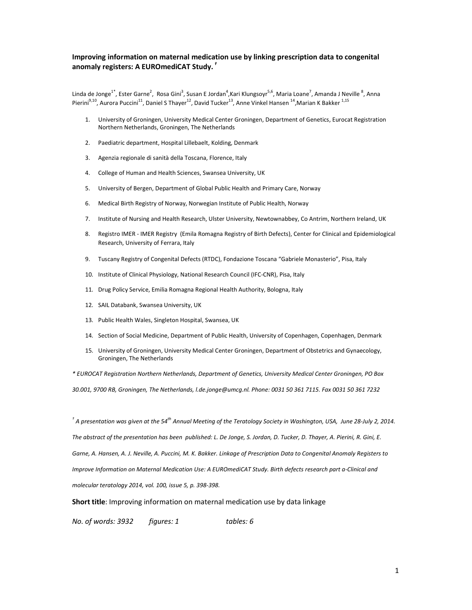## **Improving information on maternal medication use by linking prescription data to congenital anomaly registers: A EUROmediCAT Study.** *†*

Linda de Jonge<sup>1\*</sup>, Ester Garne<sup>2</sup>, Rosa Gini<sup>3</sup>, Susan E Jordan<sup>4</sup>,Kari Klungsoyr<sup>5,6</sup>, Maria Loane<sup>7</sup>, Amanda J Neville <sup>8</sup>, Anna Pierini<sup>9,10</sup>, Aurora Puccini<sup>11</sup>, Daniel S Thayer<sup>12</sup>, David Tucker<sup>13</sup>, Anne Vinkel Hansen <sup>14</sup>,Marian K Bakker <sup>1,15</sup>

- 1. University of Groningen, University Medical Center Groningen, Department of Genetics, Eurocat Registration Northern Netherlands, Groningen, The Netherlands
- 2. Paediatric department, Hospital Lillebaelt, Kolding, Denmark
- 3. Agenzia regionale di sanità della Toscana, Florence, Italy
- 4. College of Human and Health Sciences, Swansea University, UK
- 5. University of Bergen, Department of Global Public Health and Primary Care, Norway
- 6. Medical Birth Registry of Norway, Norwegian Institute of Public Health, Norway
- 7. Institute of Nursing and Health Research, Ulster University, Newtownabbey, Co Antrim, Northern Ireland, UK
- 8. Registro IMER IMER Registry (Emila Romagna Registry of Birth Defects), Center for Clinical and Epidemiological Research, University of Ferrara, Italy
- 9. Tuscany Registry of Congenital Defects (RTDC), Fondazione Toscana "Gabriele Monasterio", Pisa, Italy
- 10. Institute of Clinical Physiology, National Research Council (IFC-CNR), Pisa, Italy
- 11. Drug Policy Service, Emilia Romagna Regional Health Authority, Bologna, Italy
- 12. SAIL Databank, Swansea University, UK
- 13. Public Health Wales, Singleton Hospital, Swansea, UK
- 14. Section of Social Medicine, Department of Public Health, University of Copenhagen, Copenhagen, Denmark
- 15. University of Groningen, University Medical Center Groningen, Department of Obstetrics and Gynaecology, Groningen, The Netherlands

*\* EUROCAT Registration Northern Netherlands, Department of Genetics, University Medical Center Groningen, PO Box 30.001, 9700 RB, Groningen, The Netherlands, l.de.jonge@umcg.nl. Phone: 0031 50 361 7115. Fax 0031 50 361 7232* 

*† A presentation was given at the 54th Annual Meeting of the Teratology Society in Washington, USA, June 28-July 2, 2014. The abstract of the presentation has been published: L. De Jonge, S. Jordan, D. Tucker, D. Thayer, A. Pierini, R. Gini, E. Garne, A. Hansen, A. J. Neville, A. Puccini, M. K. Bakker. Linkage of Prescription Data to Congenital Anomaly Registers to Improve Information on Maternal Medication Use: A EUROmediCAT Study. Birth defects research part a-Clinical and molecular teratology 2014, vol. 100, issue 5, p. 398-398.* 

#### **Short title**: Improving information on maternal medication use by data linkage

*No. of words: 3932 figures: 1 tables: 6*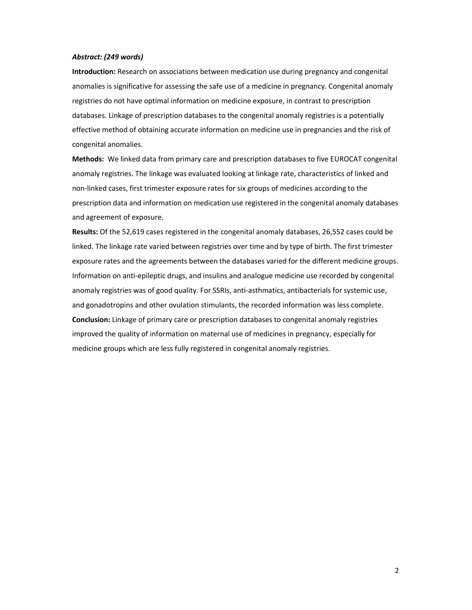### *Abstract: (249 words)*

**Introduction:** Research on associations between medication use during pregnancy and congenital anomalies is significative for assessing the safe use of a medicine in pregnancy. Congenital anomaly registries do not have optimal information on medicine exposure, in contrast to prescription databases. Linkage of prescription databases to the congenital anomaly registries is a potentially effective method of obtaining accurate information on medicine use in pregnancies and the risk of congenital anomalies.

**Methods:** We linked data from primary care and prescription databases to five EUROCAT congenital anomaly registries. The linkage was evaluated looking at linkage rate, characteristics of linked and non-linked cases, first trimester exposure rates for six groups of medicines according to the prescription data and information on medication use registered in the congenital anomaly databases and agreement of exposure.

**Results:** Of the 52,619 cases registered in the congenital anomaly databases, 26,552 cases could be linked. The linkage rate varied between registries over time and by type of birth. The first trimester exposure rates and the agreements between the databases varied for the different medicine groups. Information on anti-epileptic drugs, and insulins and analogue medicine use recorded by congenital anomaly registries was of good quality. For SSRIs, anti-asthmatics, antibacterials for systemic use, and gonadotropins and other ovulation stimulants, the recorded information was less complete. **Conclusion:** Linkage of primary care or prescription databases to congenital anomaly registries improved the quality of information on maternal use of medicines in pregnancy, especially for medicine groups which are less fully registered in congenital anomaly registries.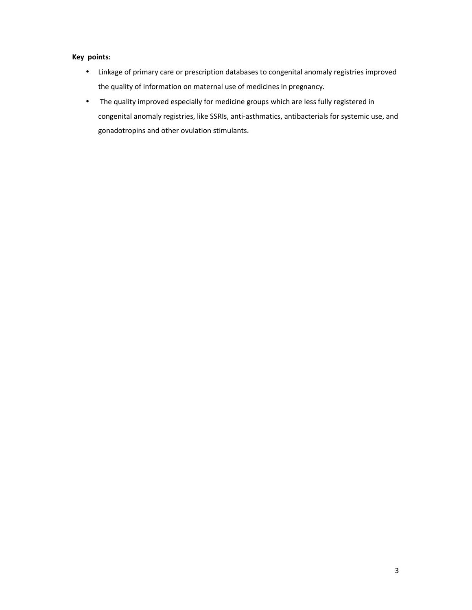# **Key points:**

- Linkage of primary care or prescription databases to congenital anomaly registries improved the quality of information on maternal use of medicines in pregnancy.
- The quality improved especially for medicine groups which are less fully registered in congenital anomaly registries, like SSRIs, anti-asthmatics, antibacterials for systemic use, and gonadotropins and other ovulation stimulants.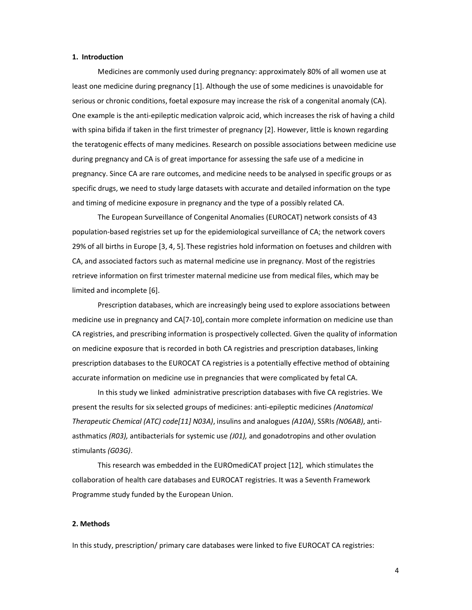### **1. Introduction**

 Medicines are commonly used during pregnancy: approximately 80% of all women use at least one medicine during pregnancy [1]. Although the use of some medicines is unavoidable for serious or chronic conditions, foetal exposure may increase the risk of a congenital anomaly (CA). One example is the anti-epileptic medication valproic acid, which increases the risk of having a child with spina bifida if taken in the first trimester of pregnancy [2]. However, little is known regarding the teratogenic effects of many medicines. Research on possible associations between medicine use during pregnancy and CA is of great importance for assessing the safe use of a medicine in pregnancy. Since CA are rare outcomes, and medicine needs to be analysed in specific groups or as specific drugs, we need to study large datasets with accurate and detailed information on the type and timing of medicine exposure in pregnancy and the type of a possibly related CA.

 The European Surveillance of Congenital Anomalies (EUROCAT) network consists of 43 population-based registries set up for the epidemiological surveillance of CA; the network covers 29% of all births in Europe [3, 4, 5]. These registries hold information on foetuses and children with CA, and associated factors such as maternal medicine use in pregnancy. Most of the registries retrieve information on first trimester maternal medicine use from medical files, which may be limited and incomplete [6].

 Prescription databases, which are increasingly being used to explore associations between medicine use in pregnancy and CA[7-10], contain more complete information on medicine use than CA registries, and prescribing information is prospectively collected. Given the quality of information on medicine exposure that is recorded in both CA registries and prescription databases, linking prescription databases to the EUROCAT CA registries is a potentially effective method of obtaining accurate information on medicine use in pregnancies that were complicated by fetal CA.

 In this study we linked administrative prescription databases with five CA registries. We present the results for six selected groups of medicines: anti-epileptic medicines *(Anatomical Therapeutic Chemical (ATC) code[11] N03A)*, insulins and analogues *(A10A)*, SSRIs *(N06AB)*, antiasthmatics *(R03),* antibacterials for systemic use *(J01),* and gonadotropins and other ovulation stimulants *(G03G)*.

 This research was embedded in the EUROmediCAT project [12], which stimulates the collaboration of health care databases and EUROCAT registries. It was a Seventh Framework Programme study funded by the European Union.

### **2. Methods**

In this study, prescription/ primary care databases were linked to five EUROCAT CA registries: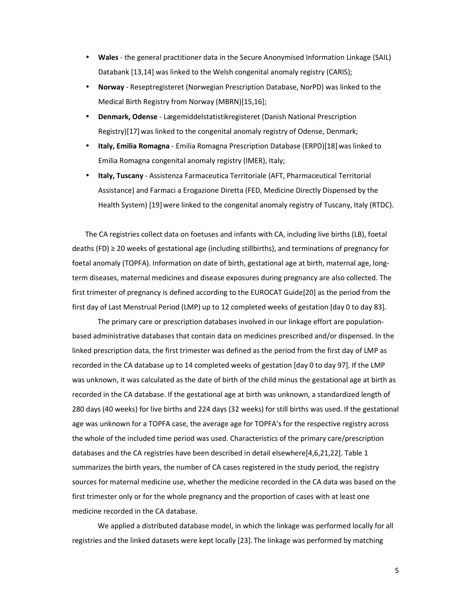- **Wales** the general practitioner data in the Secure Anonymised Information Linkage (SAIL) Databank [13,14] was linked to the Welsh congenital anomaly registry (CARIS);
- **Norway**  Reseptregisteret (Norwegian Prescription Database, NorPD) was linked to the Medical Birth Registry from Norway (MBRN)[15,16];
- **Denmark, Odense** Lægemiddelstatistikregisteret (Danish National Prescription Registry)[17] was linked to the congenital anomaly registry of Odense, Denmark;
- **Italy, Emilia Romagna** Emilia Romagna Prescription Database (ERPD)[18] was linked to Emilia Romagna congenital anomaly registry (IMER), Italy;
- **Italy, Tuscany** Assistenza Farmaceutica Territoriale (AFT, Pharmaceutical Territorial Assistance) and Farmaci a Erogazione Diretta (FED, Medicine Directly Dispensed by the Health System) [19]were linked to the congenital anomaly registry of Tuscany, Italy (RTDC).

The CA registries collect data on foetuses and infants with CA, including live births (LB), foetal deaths (FD) ≥ 20 weeks of gestational age (including stillbirths), and terminations of pregnancy for foetal anomaly (TOPFA). Information on date of birth, gestational age at birth, maternal age, longterm diseases, maternal medicines and disease exposures during pregnancy are also collected. The first trimester of pregnancy is defined according to the EUROCAT Guide[20] as the period from the first day of Last Menstrual Period (LMP) up to 12 completed weeks of gestation [day 0 to day 83].

 The primary care or prescription databases involved in our linkage effort are populationbased administrative databases that contain data on medicines prescribed and/or dispensed. In the linked prescription data, the first trimester was defined as the period from the first day of LMP as recorded in the CA database up to 14 completed weeks of gestation [day 0 to day 97]. If the LMP was unknown, it was calculated as the date of birth of the child minus the gestational age at birth as recorded in the CA database. If the gestational age at birth was unknown, a standardized length of 280 days (40 weeks) for live births and 224 days (32 weeks) for still births was used. If the gestational age was unknown for a TOPFA case, the average age for TOPFA's for the respective registry across the whole of the included time period was used. Characteristics of the primary care/prescription databases and the CA registries have been described in detail elsewhere[4,6,21,22]. Table 1 summarizes the birth years, the number of CA cases registered in the study period, the registry sources for maternal medicine use, whether the medicine recorded in the CA data was based on the first trimester only or for the whole pregnancy and the proportion of cases with at least one medicine recorded in the CA database.

 We applied a distributed database model, in which the linkage was performed locally for all registries and the linked datasets were kept locally [23]. The linkage was performed by matching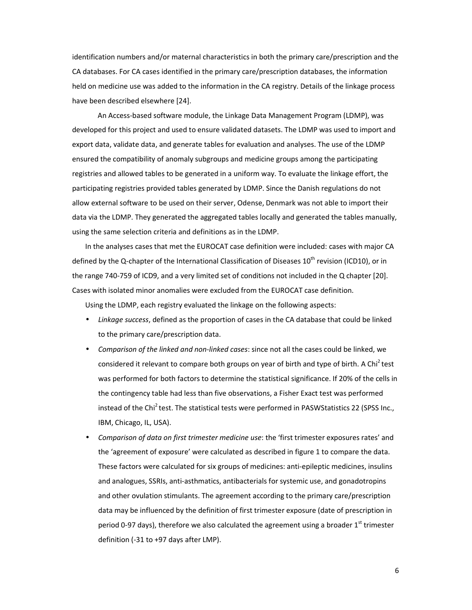identification numbers and/or maternal characteristics in both the primary care/prescription and the CA databases. For CA cases identified in the primary care/prescription databases, the information held on medicine use was added to the information in the CA registry. Details of the linkage process have been described elsewhere [24].

 An Access-based software module, the Linkage Data Management Program (LDMP), was developed for this project and used to ensure validated datasets. The LDMP was used to import and export data, validate data, and generate tables for evaluation and analyses. The use of the LDMP ensured the compatibility of anomaly subgroups and medicine groups among the participating registries and allowed tables to be generated in a uniform way. To evaluate the linkage effort, the participating registries provided tables generated by LDMP. Since the Danish regulations do not allow external software to be used on their server, Odense, Denmark was not able to import their data via the LDMP. They generated the aggregated tables locally and generated the tables manually, using the same selection criteria and definitions as in the LDMP.

In the analyses cases that met the EUROCAT case definition were included: cases with major CA defined by the Q-chapter of the International Classification of Diseases 10<sup>th</sup> revision (ICD10), or in the range 740-759 of ICD9, and a very limited set of conditions not included in the Q chapter [20]. Cases with isolated minor anomalies were excluded from the EUROCAT case definition.

Using the LDMP, each registry evaluated the linkage on the following aspects:

- *Linkage success*, defined as the proportion of cases in the CA database that could be linked to the primary care/prescription data.
- *Comparison of the linked and non-linked cases*: since not all the cases could be linked, we considered it relevant to compare both groups on year of birth and type of birth. A Chi<sup>2</sup> test was performed for both factors to determine the statistical significance. If 20% of the cells in the contingency table had less than five observations, a Fisher Exact test was performed instead of the Chi<sup>2</sup> test. The statistical tests were performed in PASWStatistics 22 (SPSS Inc., IBM, Chicago, IL, USA).
- *Comparison of data on first trimester medicine use*: the 'first trimester exposures rates' and the 'agreement of exposure' were calculated as described in figure 1 to compare the data. These factors were calculated for six groups of medicines: anti-epileptic medicines, insulins and analogues, SSRIs, anti-asthmatics, antibacterials for systemic use, and gonadotropins and other ovulation stimulants. The agreement according to the primary care/prescription data may be influenced by the definition of first trimester exposure (date of prescription in period 0-97 days), therefore we also calculated the agreement using a broader  $1<sup>st</sup>$  trimester definition (-31 to +97 days after LMP).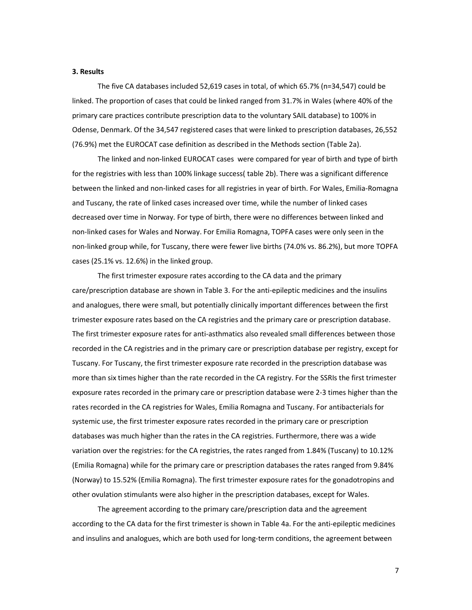### **3. Results**

 The five CA databases included 52,619 cases in total, of which 65.7% (n=34,547) could be linked. The proportion of cases that could be linked ranged from 31.7% in Wales (where 40% of the primary care practices contribute prescription data to the voluntary SAIL database) to 100% in Odense, Denmark. Of the 34,547 registered cases that were linked to prescription databases, 26,552 (76.9%) met the EUROCAT case definition as described in the Methods section (Table 2a).

The linked and non-linked EUROCAT cases were compared for year of birth and type of birth for the registries with less than 100% linkage success( table 2b). There was a significant difference between the linked and non-linked cases for all registries in year of birth. For Wales, Emilia-Romagna and Tuscany, the rate of linked cases increased over time, while the number of linked cases decreased over time in Norway. For type of birth, there were no differences between linked and non-linked cases for Wales and Norway. For Emilia Romagna, TOPFA cases were only seen in the non-linked group while, for Tuscany, there were fewer live births (74.0% vs. 86.2%), but more TOPFA cases (25.1% vs. 12.6%) in the linked group.

The first trimester exposure rates according to the CA data and the primary care/prescription database are shown in Table 3. For the anti-epileptic medicines and the insulins and analogues, there were small, but potentially clinically important differences between the first trimester exposure rates based on the CA registries and the primary care or prescription database. The first trimester exposure rates for anti-asthmatics also revealed small differences between those recorded in the CA registries and in the primary care or prescription database per registry, except for Tuscany. For Tuscany, the first trimester exposure rate recorded in the prescription database was more than six times higher than the rate recorded in the CA registry. For the SSRIs the first trimester exposure rates recorded in the primary care or prescription database were 2-3 times higher than the rates recorded in the CA registries for Wales, Emilia Romagna and Tuscany. For antibacterials for systemic use, the first trimester exposure rates recorded in the primary care or prescription databases was much higher than the rates in the CA registries. Furthermore, there was a wide variation over the registries: for the CA registries, the rates ranged from 1.84% (Tuscany) to 10.12% (Emilia Romagna) while for the primary care or prescription databases the rates ranged from 9.84% (Norway) to 15.52% (Emilia Romagna). The first trimester exposure rates for the gonadotropins and other ovulation stimulants were also higher in the prescription databases, except for Wales.

 The agreement according to the primary care/prescription data and the agreement according to the CA data for the first trimester is shown in Table 4a. For the anti-epileptic medicines and insulins and analogues, which are both used for long-term conditions, the agreement between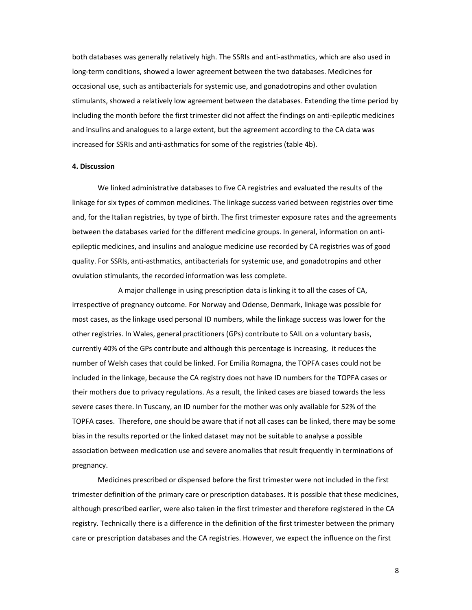both databases was generally relatively high. The SSRIs and anti-asthmatics, which are also used in long-term conditions, showed a lower agreement between the two databases. Medicines for occasional use, such as antibacterials for systemic use, and gonadotropins and other ovulation stimulants, showed a relatively low agreement between the databases. Extending the time period by including the month before the first trimester did not affect the findings on anti-epileptic medicines and insulins and analogues to a large extent, but the agreement according to the CA data was increased for SSRIs and anti-asthmatics for some of the registries (table 4b).

### **4. Discussion**

We linked administrative databases to five CA registries and evaluated the results of the linkage for six types of common medicines. The linkage success varied between registries over time and, for the Italian registries, by type of birth. The first trimester exposure rates and the agreements between the databases varied for the different medicine groups. In general, information on antiepileptic medicines, and insulins and analogue medicine use recorded by CA registries was of good quality. For SSRIs, anti-asthmatics, antibacterials for systemic use, and gonadotropins and other ovulation stimulants, the recorded information was less complete.

 A major challenge in using prescription data is linking it to all the cases of CA, irrespective of pregnancy outcome. For Norway and Odense, Denmark, linkage was possible for most cases, as the linkage used personal ID numbers, while the linkage success was lower for the other registries. In Wales, general practitioners (GPs) contribute to SAIL on a voluntary basis, currently 40% of the GPs contribute and although this percentage is increasing, it reduces the number of Welsh cases that could be linked. For Emilia Romagna, the TOPFA cases could not be included in the linkage, because the CA registry does not have ID numbers for the TOPFA cases or their mothers due to privacy regulations. As a result, the linked cases are biased towards the less severe cases there. In Tuscany, an ID number for the mother was only available for 52% of the TOPFA cases. Therefore, one should be aware that if not all cases can be linked, there may be some bias in the results reported or the linked dataset may not be suitable to analyse a possible association between medication use and severe anomalies that result frequently in terminations of pregnancy.

 Medicines prescribed or dispensed before the first trimester were not included in the first trimester definition of the primary care or prescription databases. It is possible that these medicines, although prescribed earlier, were also taken in the first trimester and therefore registered in the CA registry. Technically there is a difference in the definition of the first trimester between the primary care or prescription databases and the CA registries. However, we expect the influence on the first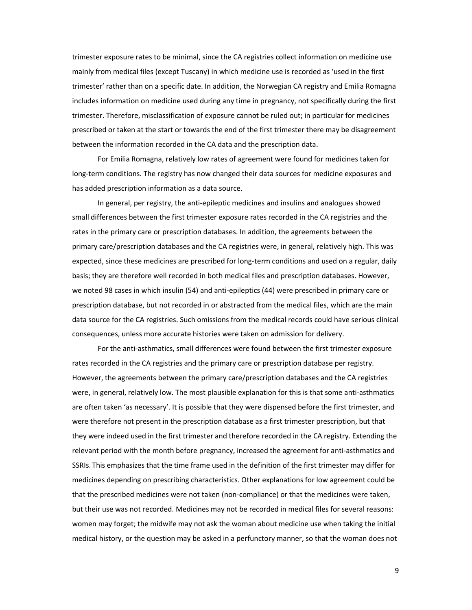trimester exposure rates to be minimal, since the CA registries collect information on medicine use mainly from medical files (except Tuscany) in which medicine use is recorded as 'used in the first trimester' rather than on a specific date. In addition, the Norwegian CA registry and Emilia Romagna includes information on medicine used during any time in pregnancy, not specifically during the first trimester. Therefore, misclassification of exposure cannot be ruled out; in particular for medicines prescribed or taken at the start or towards the end of the first trimester there may be disagreement between the information recorded in the CA data and the prescription data.

 For Emilia Romagna, relatively low rates of agreement were found for medicines taken for long-term conditions. The registry has now changed their data sources for medicine exposures and has added prescription information as a data source.

 In general, per registry, the anti-epileptic medicines and insulins and analogues showed small differences between the first trimester exposure rates recorded in the CA registries and the rates in the primary care or prescription databases. In addition, the agreements between the primary care/prescription databases and the CA registries were, in general, relatively high. This was expected, since these medicines are prescribed for long-term conditions and used on a regular, daily basis; they are therefore well recorded in both medical files and prescription databases. However, we noted 98 cases in which insulin (54) and anti-epileptics (44) were prescribed in primary care or prescription database, but not recorded in or abstracted from the medical files, which are the main data source for the CA registries. Such omissions from the medical records could have serious clinical consequences, unless more accurate histories were taken on admission for delivery.

 For the anti-asthmatics, small differences were found between the first trimester exposure rates recorded in the CA registries and the primary care or prescription database per registry. However, the agreements between the primary care/prescription databases and the CA registries were, in general, relatively low. The most plausible explanation for this is that some anti-asthmatics are often taken 'as necessary'. It is possible that they were dispensed before the first trimester, and were therefore not present in the prescription database as a first trimester prescription, but that they were indeed used in the first trimester and therefore recorded in the CA registry. Extending the relevant period with the month before pregnancy, increased the agreement for anti-asthmatics and SSRIs. This emphasizes that the time frame used in the definition of the first trimester may differ for medicines depending on prescribing characteristics. Other explanations for low agreement could be that the prescribed medicines were not taken (non-compliance) or that the medicines were taken, but their use was not recorded. Medicines may not be recorded in medical files for several reasons: women may forget; the midwife may not ask the woman about medicine use when taking the initial medical history, or the question may be asked in a perfunctory manner, so that the woman does not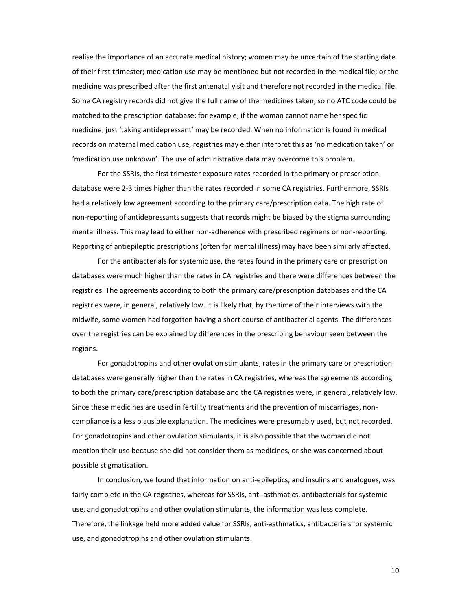realise the importance of an accurate medical history; women may be uncertain of the starting date of their first trimester; medication use may be mentioned but not recorded in the medical file; or the medicine was prescribed after the first antenatal visit and therefore not recorded in the medical file. Some CA registry records did not give the full name of the medicines taken, so no ATC code could be matched to the prescription database: for example, if the woman cannot name her specific medicine, just 'taking antidepressant' may be recorded. When no information is found in medical records on maternal medication use, registries may either interpret this as 'no medication taken' or 'medication use unknown'. The use of administrative data may overcome this problem.

 For the SSRIs, the first trimester exposure rates recorded in the primary or prescription database were 2-3 times higher than the rates recorded in some CA registries. Furthermore, SSRIs had a relatively low agreement according to the primary care/prescription data. The high rate of non-reporting of antidepressants suggests that records might be biased by the stigma surrounding mental illness. This may lead to either non-adherence with prescribed regimens or non-reporting. Reporting of antiepileptic prescriptions (often for mental illness) may have been similarly affected.

 For the antibacterials for systemic use, the rates found in the primary care or prescription databases were much higher than the rates in CA registries and there were differences between the registries. The agreements according to both the primary care/prescription databases and the CA registries were, in general, relatively low. It is likely that, by the time of their interviews with the midwife, some women had forgotten having a short course of antibacterial agents. The differences over the registries can be explained by differences in the prescribing behaviour seen between the regions.

 For gonadotropins and other ovulation stimulants, rates in the primary care or prescription databases were generally higher than the rates in CA registries, whereas the agreements according to both the primary care/prescription database and the CA registries were, in general, relatively low. Since these medicines are used in fertility treatments and the prevention of miscarriages, noncompliance is a less plausible explanation. The medicines were presumably used, but not recorded. For gonadotropins and other ovulation stimulants, it is also possible that the woman did not mention their use because she did not consider them as medicines, or she was concerned about possible stigmatisation.

 In conclusion, we found that information on anti-epileptics, and insulins and analogues, was fairly complete in the CA registries, whereas for SSRIs, anti-asthmatics, antibacterials for systemic use, and gonadotropins and other ovulation stimulants, the information was less complete. Therefore, the linkage held more added value for SSRIs, anti-asthmatics, antibacterials for systemic use, and gonadotropins and other ovulation stimulants.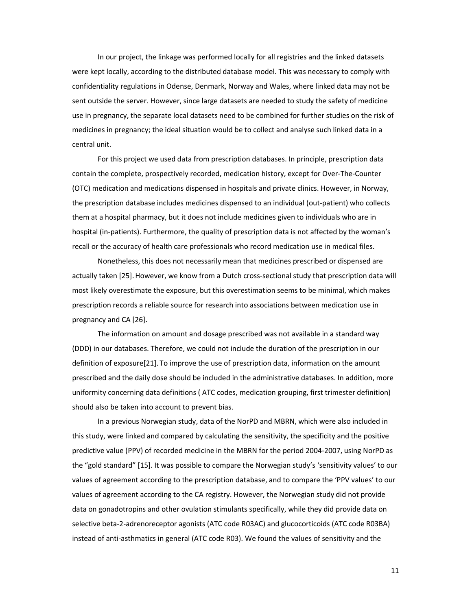In our project, the linkage was performed locally for all registries and the linked datasets were kept locally, according to the distributed database model. This was necessary to comply with confidentiality regulations in Odense, Denmark, Norway and Wales, where linked data may not be sent outside the server. However, since large datasets are needed to study the safety of medicine use in pregnancy, the separate local datasets need to be combined for further studies on the risk of medicines in pregnancy; the ideal situation would be to collect and analyse such linked data in a central unit.

 For this project we used data from prescription databases. In principle, prescription data contain the complete, prospectively recorded, medication history, except for Over-The-Counter (OTC) medication and medications dispensed in hospitals and private clinics. However, in Norway, the prescription database includes medicines dispensed to an individual (out-patient) who collects them at a hospital pharmacy, but it does not include medicines given to individuals who are in hospital (in-patients). Furthermore, the quality of prescription data is not affected by the woman's recall or the accuracy of health care professionals who record medication use in medical files.

 Nonetheless, this does not necessarily mean that medicines prescribed or dispensed are actually taken [25]. However, we know from a Dutch cross-sectional study that prescription data will most likely overestimate the exposure, but this overestimation seems to be minimal, which makes prescription records a reliable source for research into associations between medication use in pregnancy and CA [26].

 The information on amount and dosage prescribed was not available in a standard way (DDD) in our databases. Therefore, we could not include the duration of the prescription in our definition of exposure[21]. To improve the use of prescription data, information on the amount prescribed and the daily dose should be included in the administrative databases. In addition, more uniformity concerning data definitions ( ATC codes, medication grouping, first trimester definition) should also be taken into account to prevent bias.

 In a previous Norwegian study, data of the NorPD and MBRN, which were also included in this study, were linked and compared by calculating the sensitivity, the specificity and the positive predictive value (PPV) of recorded medicine in the MBRN for the period 2004-2007, using NorPD as the "gold standard" [15]. It was possible to compare the Norwegian study's 'sensitivity values' to our values of agreement according to the prescription database, and to compare the 'PPV values' to our values of agreement according to the CA registry. However, the Norwegian study did not provide data on gonadotropins and other ovulation stimulants specifically, while they did provide data on selective beta-2-adrenoreceptor agonists (ATC code R03AC) and glucocorticoids (ATC code R03BA) instead of anti-asthmatics in general (ATC code R03). We found the values of sensitivity and the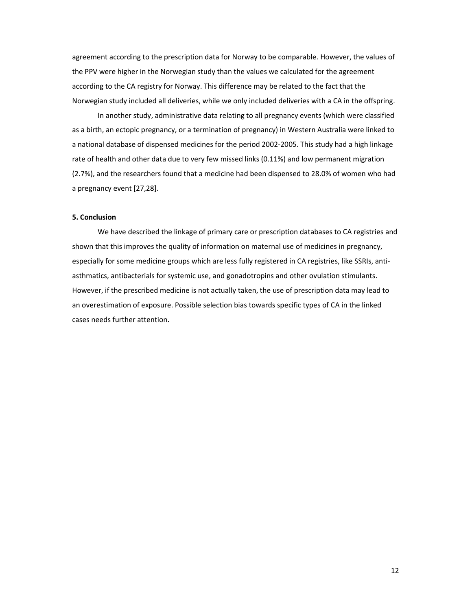agreement according to the prescription data for Norway to be comparable. However, the values of the PPV were higher in the Norwegian study than the values we calculated for the agreement according to the CA registry for Norway. This difference may be related to the fact that the Norwegian study included all deliveries, while we only included deliveries with a CA in the offspring.

 In another study, administrative data relating to all pregnancy events (which were classified as a birth, an ectopic pregnancy, or a termination of pregnancy) in Western Australia were linked to a national database of dispensed medicines for the period 2002-2005. This study had a high linkage rate of health and other data due to very few missed links (0.11%) and low permanent migration (2.7%), and the researchers found that a medicine had been dispensed to 28.0% of women who had a pregnancy event [27,28].

### **5. Conclusion**

We have described the linkage of primary care or prescription databases to CA registries and shown that this improves the quality of information on maternal use of medicines in pregnancy, especially for some medicine groups which are less fully registered in CA registries, like SSRIs, antiasthmatics, antibacterials for systemic use, and gonadotropins and other ovulation stimulants. However, if the prescribed medicine is not actually taken, the use of prescription data may lead to an overestimation of exposure. Possible selection bias towards specific types of CA in the linked cases needs further attention.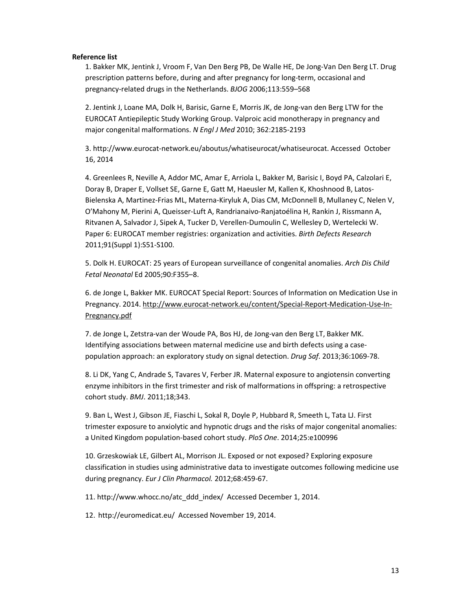## **Reference list**

1. Bakker MK, Jentink J, Vroom F, Van Den Berg PB, De Walle HE, De Jong-Van Den Berg LT. Drug prescription patterns before, during and after pregnancy for long-term, occasional and pregnancy-related drugs in the Netherlands. *BJOG* 2006;113:559–568

2. Jentink J, Loane MA, Dolk H, Barisic, Garne E, Morris JK, de Jong-van den Berg LTW for the EUROCAT Antiepileptic Study Working Group. Valproic acid monotherapy in pregnancy and major congenital malformations. *N Engl J Med* 2010; 362:2185-2193

3. http://www.eurocat-network.eu/aboutus/whatiseurocat/whatiseurocat. Accessed October 16, 2014

4. Greenlees R, Neville A, Addor MC, Amar E, Arriola L, Bakker M, Barisic I, Boyd PA, Calzolari E, Doray B, Draper E, Vollset SE, Garne E, Gatt M, Haeusler M, Kallen K, Khoshnood B, Latos-Bielenska A, Martinez-Frias ML, Materna-Kiryluk A, Dias CM, McDonnell B, Mullaney C, Nelen V, O'Mahony M, Pierini A, Queisser-Luft A, Randrianaivo-Ranjatoélina H, Rankin J, Rissmann A, Ritvanen A, Salvador J, Sipek A, Tucker D, Verellen-Dumoulin C, Wellesley D, Wertelecki W. Paper 6: EUROCAT member registries: organization and activities. *Birth Defects Research* 2011;91(Suppl 1):S51-S100.

5. Dolk H. EUROCAT: 25 years of European surveillance of congenital anomalies. *Arch Dis Child Fetal Neonatal* Ed 2005;90:F355–8.

6. de Jonge L, Bakker MK. EUROCAT Special Report: Sources of Information on Medication Use in Pregnancy. 2014. http://www.eurocat-network.eu/content/Special-Report-Medication-Use-In-Pregnancy.pdf

7. de Jonge L, Zetstra-van der Woude PA, Bos HJ, de Jong-van den Berg LT, Bakker MK. Identifying associations between maternal medicine use and birth defects using a casepopulation approach: an exploratory study on signal detection. *Drug Saf*. 2013;36:1069-78.

8. Li DK, Yang C, Andrade S, Tavares V, Ferber JR. Maternal exposure to angiotensin converting enzyme inhibitors in the first trimester and risk of malformations in offspring: a retrospective cohort study. *BMJ*. 2011;18;343.

9. Ban L, West J, Gibson JE, Fiaschi L, Sokal R, Doyle P, Hubbard R, Smeeth L, Tata LJ. First trimester exposure to anxiolytic and hypnotic drugs and the risks of major congenital anomalies: a United Kingdom population-based cohort study. *PloS One*. 2014;25:e100996

10. Grzeskowiak LE, Gilbert AL, Morrison JL. Exposed or not exposed? Exploring exposure classification in studies using administrative data to investigate outcomes following medicine use during pregnancy. *Eur J Clin Pharmacol.* 2012;68:459-67.

11. http://www.whocc.no/atc\_ddd\_index/ Accessed December 1, 2014.

12. http://euromedicat.eu/ Accessed November 19, 2014.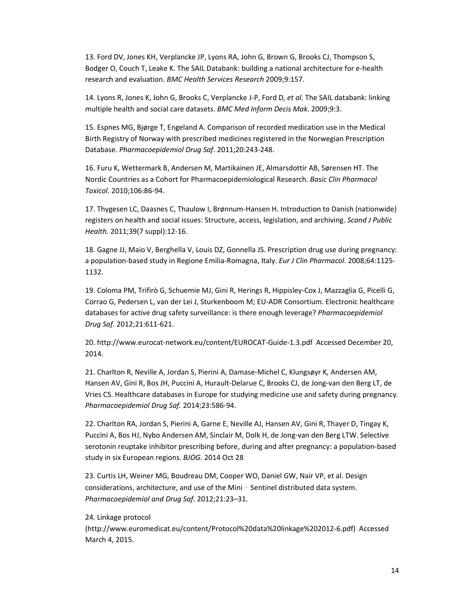13. Ford DV, Jones KH, Verplancke JP, Lyons RA, John G, Brown G, Brooks CJ, Thompson S, Bodger O, Couch T, Leake K. The SAIL Databank: building a national architecture for e-health research and evaluation. *BMC Health Services Research* 2009;9:157.

14. Lyons R, Jones K, John G, Brooks C, Verplancke J-P, Ford D*, et al.* The SAIL databank: linking multiple health and social care datasets. *BMC Med Inform Decis Mak*. 2009;9:3.

15. Espnes MG, Bjørge T, Engeland A. Comparison of recorded medication use in the Medical Birth Registry of Norway with prescribed medicines registered in the Norwegian Prescription Database. *Pharmacoepidemiol Drug Saf*. 2011;20:243-248.

16. Furu K, Wettermark B, Andersen M, Martikainen JE, Almarsdottir AB, Sørensen HT. The Nordic Countries as a Cohort for Pharmacoepidemiological Research. *Basic Clin Pharmacol Toxicol.* 2010;106:86-94.

17. Thygesen LC, Daasnes C, Thaulow I, Brønnum-Hansen H. Introduction to Danish (nationwide) registers on health and social issues: Structure, access, legislation, and archiving. *Scand J Public Health.* 2011;39(7 suppl):12-16.

18. Gagne JJ, Maio V, Berghella V, Louis DZ, Gonnella JS. Prescription drug use during pregnancy: a population-based study in Regione Emilia-Romagna, Italy. *Eur J Clin Pharmacol*. 2008;64:1125- 1132.

19. Coloma PM, Trifirò G, Schuemie MJ, Gini R, Herings R, Hippisley-Cox J, Mazzaglia G, Picelli G, Corrao G, Pedersen L, van der Lei J, Sturkenboom M; EU-ADR Consortium*.* Electronic healthcare databases for active drug safety surveillance: is there enough leverage? *Pharmacoepidemiol Drug Saf.* 2012;21:611-621.

20. http://www.eurocat-network.eu/content/EUROCAT-Guide-1.3.pdf Accessed December 20, 2014.

21. Charlton R, Neville A, Jordan S, Pierini A, Damase-Michel C, Klungsøyr K*,* Andersen AM, Hansen AV, Gini R, Bos JH, Puccini A, Hurault-Delarue C, Brooks CJ, de Jong-van den Berg LT, de Vries CS. Healthcare databases in Europe for studying medicine use and safety during pregnancy. *Pharmacoepidemiol Drug Saf.* 2014;23:586-94.

22. Charlton RA, Jordan S, Pierini A, Garne E, Neville AJ, Hansen AV, Gini R, Thayer D, Tingay K, Puccini A, Bos HJ, Nybo Andersen AM, Sinclair M, Dolk H, de Jong-van den Berg LTW. Selective serotonin reuptake inhibitor prescribing before, during and after pregnancy: a population-based study in six European regions. *BJOG*. 2014 Oct 28

23. Curtis LH, Weiner MG, Boudreau DM, Cooper WO, Daniel GW, Nair VP, et al. Design considerations, architecture, and use of the Mini - Sentinel distributed data system. *Pharmacoepidemiol and Drug Saf*. 2012;21:23–31.

#### 24. Linkage protocol

(http://www.euromedicat.eu/content/Protocol%20data%20linkage%202012-6.pdf) Accessed March 4, 2015.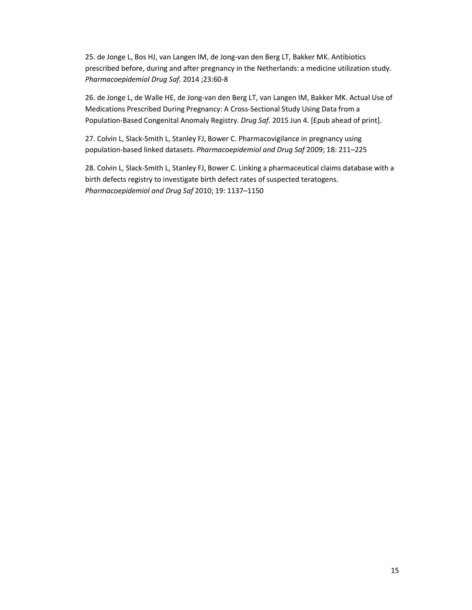25. de Jonge L, Bos HJ, van Langen IM, de Jong-van den Berg LT, Bakker MK. Antibiotics prescribed before, during and after pregnancy in the Netherlands: a medicine utilization study. *Pharmacoepidemiol Drug Saf.* 2014 ;23:60-8

26. de Jonge L, de Walle HE, de Jong-van den Berg LT, van Langen IM, Bakker MK. Actual Use of Medications Prescribed During Pregnancy: A Cross-Sectional Study Using Data from a Population-Based Congenital Anomaly Registry. *Drug Saf*. 2015 Jun 4. [Epub ahead of print].

27. Colvin L, Slack-Smith L, Stanley FJ, Bower C. Pharmacovigilance in pregnancy using population-based linked datasets. *Pharmacoepidemiol and Drug Saf* 2009; 18: 211–225

28. Colvin L, Slack-Smith L, Stanley FJ, Bower C. Linking a pharmaceutical claims database with a birth defects registry to investigate birth defect rates of suspected teratogens. *Pharmacoepidemiol and Drug Saf* 2010; 19: 1137–1150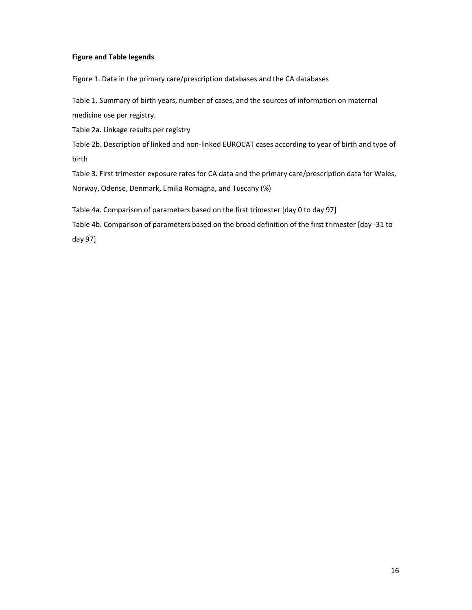# **Figure and Table legends**

Figure 1. Data in the primary care/prescription databases and the CA databases

Table 1. Summary of birth years, number of cases, and the sources of information on maternal medicine use per registry.

Table 2a. Linkage results per registry

Table 2b. Description of linked and non-linked EUROCAT cases according to year of birth and type of birth

Table 3. First trimester exposure rates for CA data and the primary care/prescription data for Wales, Norway, Odense, Denmark, Emilia Romagna, and Tuscany (%)

Table 4a. Comparison of parameters based on the first trimester [day 0 to day 97]

Table 4b. Comparison of parameters based on the broad definition of the first trimester [day -31 to day 97]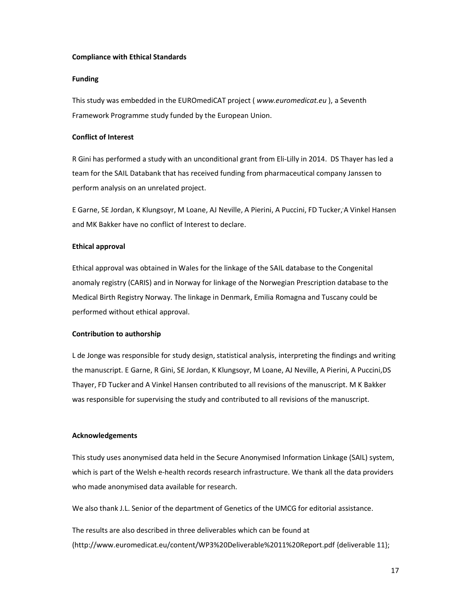### **Compliance with Ethical Standards**

## **Funding**

This study was embedded in the EUROmediCAT project ( *www.euromedicat.eu* ), a Seventh Framework Programme study funded by the European Union.

# **Conflict of Interest**

R Gini has performed a study with an unconditional grant from Eli-Lilly in 2014. DS Thayer has led a team for the SAIL Databank that has received funding from pharmaceutical company Janssen to perform analysis on an unrelated project.

E Garne, SE Jordan, K Klungsoyr, M Loane, AJ Neville, A Pierini, A Puccini, FD Tucker, A Vinkel Hansen and MK Bakker have no conflict of Interest to declare.

## **Ethical approval**

Ethical approval was obtained in Wales for the linkage of the SAIL database to the Congenital anomaly registry (CARIS) and in Norway for linkage of the Norwegian Prescription database to the Medical Birth Registry Norway. The linkage in Denmark, Emilia Romagna and Tuscany could be performed without ethical approval.

## **Contribution to authorship**

L de Jonge was responsible for study design, statistical analysis, interpreting the findings and writing the manuscript. E Garne, R Gini, SE Jordan, K Klungsoyr, M Loane, AJ Neville, A Pierini, A Puccini,DS Thayer, FD Tucker and A Vinkel Hansen contributed to all revisions of the manuscript. M K Bakker was responsible for supervising the study and contributed to all revisions of the manuscript.

## **Acknowledgements**

This study uses anonymised data held in the Secure Anonymised Information Linkage (SAIL) system, which is part of the Welsh e-health records research infrastructure. We thank all the data providers who made anonymised data available for research.

We also thank J.L. Senior of the department of Genetics of the UMCG for editorial assistance.

The results are also described in three deliverables which can be found at (http://www.euromedicat.eu/content/WP3%20Deliverable%2011%20Report.pdf {deliverable 11};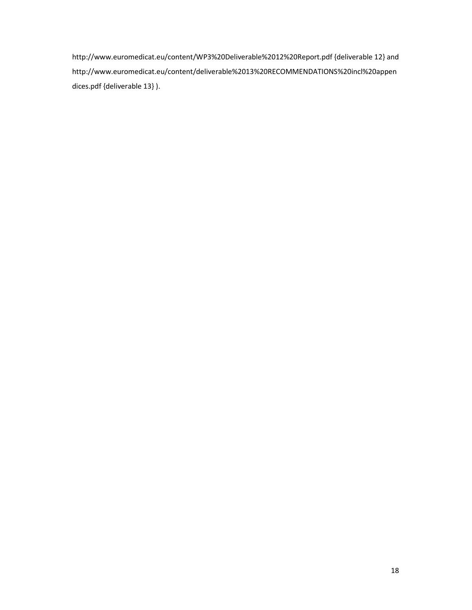http://www.euromedicat.eu/content/WP3%20Deliverable%2012%20Report.pdf {deliverable 12} and http://www.euromedicat.eu/content/deliverable%2013%20RECOMMENDATIONS%20incl%20appen dices.pdf {deliverable 13} ).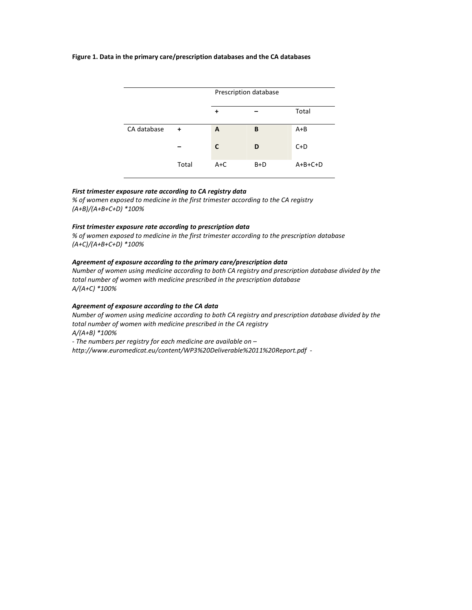#### **Figure 1. Data in the primary care/prescription databases and the CA databases**



### *First trimester exposure rate according to CA registry data*

*% of women exposed to medicine in the first trimester according to the CA registry (A+B)/(A+B+C+D) \*100%* 

#### *First trimester exposure rate according to prescription data*

*% of women exposed to medicine in the first trimester according to the prescription database (A+C)/(A+B+C+D) \*100%* 

### *Agreement of exposure according to the primary care/prescription data*

*Number of women using medicine according to both CA registry and prescription database divided by the total number of women with medicine prescribed in the prescription database A/(A+C) \*100%* 

### *Agreement of exposure according to the CA data*

*Number of women using medicine according to both CA registry and prescription database divided by the total number of women with medicine prescribed in the CA registry A/(A+B) \*100%* 

*- The numbers per registry for each medicine are available on –* 

*http://www.euromedicat.eu/content/WP3%20Deliverable%2011%20Report.pdf -*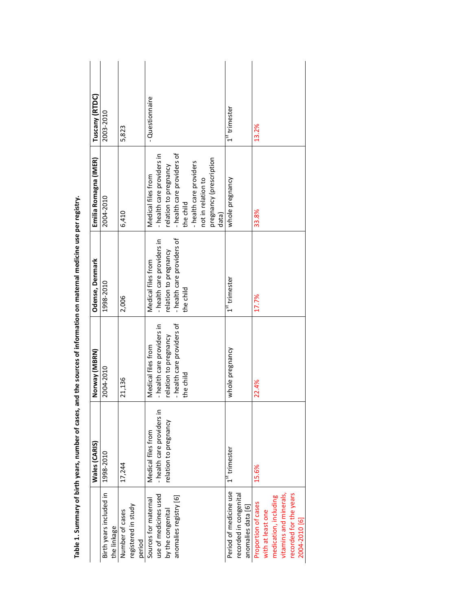|                                                                                                                                        | Wales (CARIS)                                                             | Norway (MBRN)                                                                                                        | Odense, Denmark                                                                                                      | Emilia Romagna (IMER)                                                                                                                                                                                     | Tuscany (RTDC)  |
|----------------------------------------------------------------------------------------------------------------------------------------|---------------------------------------------------------------------------|----------------------------------------------------------------------------------------------------------------------|----------------------------------------------------------------------------------------------------------------------|-----------------------------------------------------------------------------------------------------------------------------------------------------------------------------------------------------------|-----------------|
| Birth years included in<br>the linkage                                                                                                 | 1998-2010                                                                 | 2004-2010                                                                                                            | 1998-2010                                                                                                            | 2004-2010                                                                                                                                                                                                 | 2003-2010       |
| registered in study<br>Number of cases<br>period                                                                                       | 17,244                                                                    | 21,136                                                                                                               | 2,006                                                                                                                | 6,410                                                                                                                                                                                                     | 5,823           |
| use of medicines used<br>anomalies registry [6]<br>Sources for maternal<br>by the congenital                                           | - health care providers in<br>relation to pregnancy<br>Medical files from | - health care providers of<br>- health care providers in<br>relation to pregnancy<br>Medical files from<br>the child | - health care providers of<br>- health care providers in<br>relation to pregnancy<br>Medical files from<br>the child | - health care providers of<br>- health care providers in<br>pregnancy (prescription<br>- health care providers<br>relation to pregnancy<br>Medical files from<br>not in relation to<br>the child<br>data) | - Questionnaire |
| Period of medicine use<br>recorded in congenital<br>anomalies data [6]                                                                 | $1st$ trimester                                                           | whole pregnancy                                                                                                      | $1st$ trimester                                                                                                      | whole pregnancy                                                                                                                                                                                           | $1st$ trimester |
| vitamins and minerals,<br>recorded for the years<br>medication, including<br>Proportion of cases<br>with at least one<br>2004-2010 [6] | 15.6%                                                                     | 22.4%                                                                                                                | 17.7%                                                                                                                | 33.8%                                                                                                                                                                                                     | 13.2%           |

Table 1. Summary of birth years, number of cases, and the sources of information on maternal medicine use per registry. **Table 1. Summary of birth years, number of cases, and the sources of information on maternal medicine use per registry.**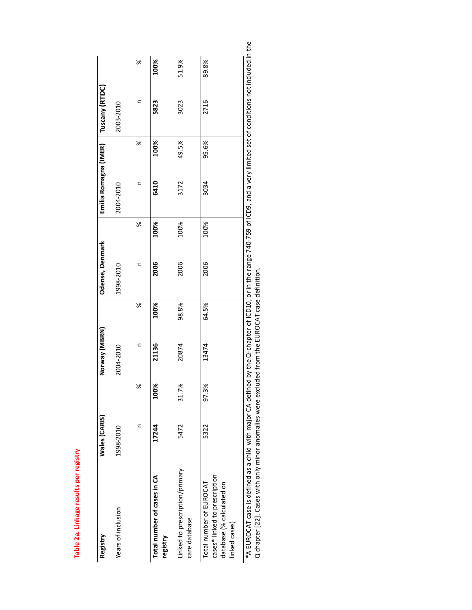| ٠<br>ı<br>I<br>f<br>ı | O |
|-----------------------|---|
|                       |   |
|                       |   |
|                       |   |
|                       |   |

| Registry                                                                                                                                                                                                                                                                                   | Wales (CARIS) | Norway (MBRN)  | Odense, Denmark | Emilia Romagna (IMER) | Tuscany (RTDC) |    |
|--------------------------------------------------------------------------------------------------------------------------------------------------------------------------------------------------------------------------------------------------------------------------------------------|---------------|----------------|-----------------|-----------------------|----------------|----|
| Years of inclusion                                                                                                                                                                                                                                                                         | 1998-2010     | 2004-2010      | 1998-2010       | 2004-2010             | 2003-2010      |    |
|                                                                                                                                                                                                                                                                                            | ৯             | ৯ৎ             | ৯ৎ              | ৯                     |                | ৯ৎ |
| Total number of cases in CA<br>registry                                                                                                                                                                                                                                                    | 100%<br>17244 | 100%<br>21136  | 100%<br>2006    | 100%<br>6410          | 100%<br>5823   |    |
| Linked to prescription/primary<br>care database                                                                                                                                                                                                                                            | 31.7%<br>5472 | 98.8%<br>20874 | 100%<br>2006    | 49.5%<br>3172         | 51.9%<br>3023  |    |
| cases* linked to prescription<br>Total number of EUROCAT<br>database (% calculated on<br>linked cases)                                                                                                                                                                                     | 97.3%<br>5322 | 64.5%<br>13474 | 100%<br>2006    | 95.6%<br>3034         | 89.8%<br>2716  |    |
| *A EUROCAT case is defined as a child with major CA defined by the Q-chapter of ICD10, or in the range 740-759 of ICD9, and a very limited set of conditions not included in the<br>$\alpha$ chapter [22]. Cases with only minor anomalies were excluded from the EUROCAT case definition. |               |                |                 |                       |                |    |

<u>م</u>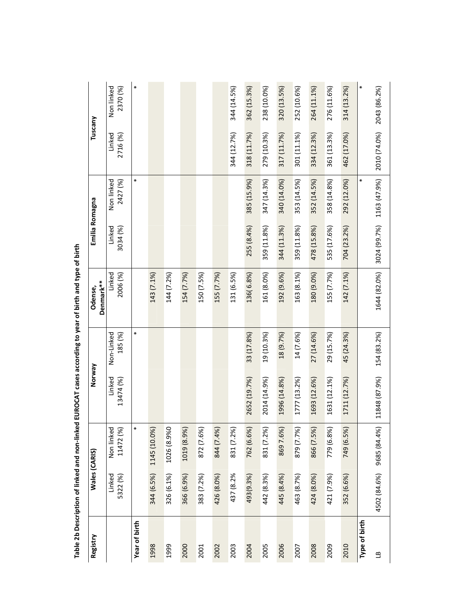| Registry      |                    | Wales (CARIS)           | Norway              |                       | Denmark**<br>Odense, | Emilia Romagna     |                        | Tuscany            |                        |
|---------------|--------------------|-------------------------|---------------------|-----------------------|----------------------|--------------------|------------------------|--------------------|------------------------|
|               | Linked<br>5322 (%) | Non linked<br>11472 (%) | Linked<br>13474 (%) | Non-Linked<br>185 (%) | Linked<br>2006 (%)   | Linked<br>3034 (%) | Non linked<br>2427 (%) | Linked<br>2716 (%) | Non linked<br>2370 (%) |
| Year of birth |                    | ×                       |                     | ∗                     |                      |                    | ∗                      |                    | ∗                      |
| 1998          | 344 (6.5%)         | 1145 (10.0%)            |                     |                       | 143 (7.1%)           |                    |                        |                    |                        |
| 1999          | 326 (6.1%)         | 1026 (8.9%0             |                     |                       | 144 (7.2%)           |                    |                        |                    |                        |
| 2000          | 366 (6.9%)         | 1019 (8.9%)             |                     |                       | 154 (7.7%)           |                    |                        |                    |                        |
| 2001          | 383 (7.2%)         | 872 (7.6%)              |                     |                       | 150 (7.5%)           |                    |                        |                    |                        |
| 2002          | 426 (8.0%)         | 844 (7.4%)              |                     |                       | 155 (7.7%)           |                    |                        |                    |                        |
| 2003          | 437 (8.2%          | 831 (7.2%)              |                     |                       | 131 (6.5%)           |                    |                        | 344 (12.7%)        | 344 (14.5%)            |
| 2004          | 493(9.3%)          | 762 (6.6%)              | 2652 (19.7%)        | 33 (17.8%)            | 136 (6.8%)           | 255 (8.4%)         | 385 (15.9%)            | 318 (11.7%)        | 362 (15.3%)            |
| 2005          | 442 (8.3%)         | 831 (7.2%)              | 2014 (14.9%)        | 19 (10.3%)            | 161 (8.0%)           | 359 (11.8%)        | 347 (14.3%)            | 279 (10.3%)        | 238 (10.0%)            |
| 2006          | 445 (8.4%)         | 8697.6%)                | 1996 (14.8%)        | 18 (9.7%)             | 192 (9.6%)           | 344 (11.3%)        | 340 (14.0%)            | 317 (11.7%)        | 320 (13.5%)            |
| 2007          | 463 (8.7%)         | 879 (7.7%)              | 1777 (13.2%)        | 14 (7.6%)             | 163 (8.1%)           | 359 (11.8%)        | 353 (14.5%)            | 301 (11.1%)        | 252 (10.6%)            |
| 2008          | 424 (8.0%)         | 866 (7.5%)              | 1693 (12.6%)        | 27 (14.6%)            | 180 (9.0%)           | 478 (15.8%)        | 352 (14.5%)            | 334 (12.3%)        | 264 (11.1%)            |
| 2009          | 421 (7.9%)         | 779 (6.8%)              | 1631 (12.1%)        | 29 (15.7%)            | 155 (7.7%)           | 535 (17.6%)        | 358 (14.8%)            | 361 (13.3%)        | 276 (11.6%)            |
| 2010          | 352 (6.6%)         | 749 (6.5%)              | 1711 (12.7%)        | 45 (24.3%)            | 142 (7.1%)           | 704 (23.2%)        | 292 (12.0%)            | 462 (17.0%)        | 314 (13.2%)            |
| Type of birth |                    |                         |                     |                       |                      |                    |                        |                    | ∗                      |
| $\mathbf{a}$  | 4502 (84.6%)       | 9685 (84.4%)            | 11848 (87.9%)       | 154 (83.2%)           | 1644 (82.0%)         | 3024 (99.7%)       | 1163 (47.9%)           | 2010 (74.0%)       | 2043 (86.2%)           |

Table 2b Description of linked and non-linked EUROCAT cases according to year of birth and type of birth **Table 2b Description of linked and non-linked EUROCAT cases according to year of birth and type of birth**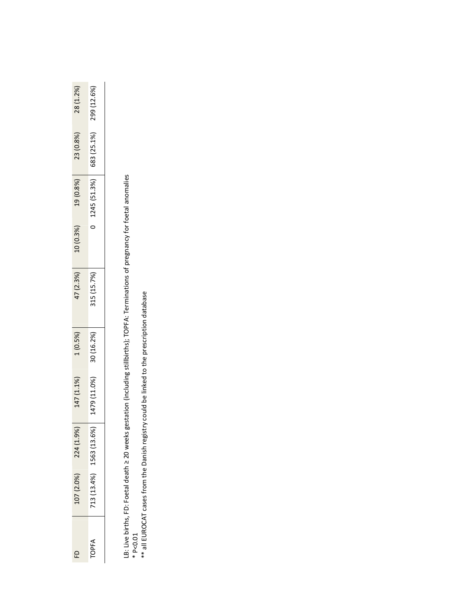| 28 (1.2%  | 299 (12.6%)                                     |
|-----------|-------------------------------------------------|
| 23 (0.8%) | $\begin{bmatrix} 683 & (25.1\% ) \end{bmatrix}$ |
| 19(0.8%)  | 1245 (51.3%)                                    |
| 10(0.3%)  |                                                 |
| 17(2.3%)  | 315 (15.7%)                                     |
| $(0.5\%)$ | 30 (16.2%                                       |
| 147 (1.1% | 479 (11.0%)                                     |
| 224 (1.99 | $1563(13.6\%)$                                  |
| .07(2.0%) | 13(13.4%)                                       |
| £         | TOPF,                                           |

LB: Live births, FD: Foetal death ≥ 20 weeks gestation (including stillbirths); TOPFA: Terminations of pregnancy for foetal anomalies LB: Live births, FD: Foetal death ≥ 20 weeks gestation (including stillbirths); TOPFA: Terminations of pregnancy for foetal anomalies<br>\* P<0.01<br>\*\* all EUROCAT cases from the Danish registry could be linked to the prescripti

\*\* all EUROCAT cases from the Danish registry could be linked to the prescription database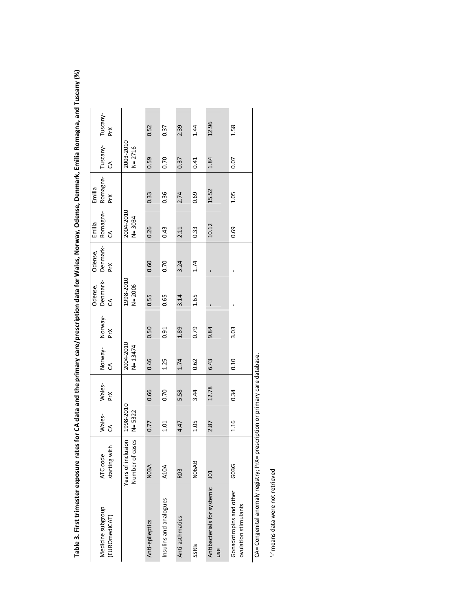Tuscany-<br>PrX PrX Tuscany- CA Tuscany- PrX 12.96 0.52 0.37 2.39 1.44 J01 2.87 12.78 6.43 9.84 - - 10.12 15.52 1.84 12.96 Insulinsulinsulins and analogues and analogues and analogues of the correlation of the correlation of the corr SSRIs N06AB 1.05 3.44 0.62 0.79 1.65 1.74 0.33 0.69 0.41 1.44 1.58 Anti-epileptics N03A 0.77 0.66 0.46 0.50 0.55 0.60 0.26 0.33 0.59 0.52 Anti-asthmatics R03 (4.47 5.58 1.74 3.14 3.14 3.24 2.11 2.11 2.37 2.39 G03G 1.16 0.34 0.10 3.03 - - 0.69 1.05 0.07 1.58 N= 2716 2003-2010 Tuscany-0.59 0.70 0.37  $0.41$ 1.84  $0.07$ ි Emilia Romagna-15.52 0.33 0.36  $2.74$ 0.69  $1.05$ N= 3034<br>N= 3034 2004-2010 Emilia Romagna-CA  $10.12$ 0.26 0.43 0.33 2.11 0.69 Denmark-Odense,<br>Denmark<br>PrX 0.60 0.70 3.24 1.74 l,  $\mathbf{r}$ 1998-2010<br>N= 2006 1998-2010 Denmark-Odense,<br>Denmark<br>CA 0.55 0.65 1.65 3.14  $\overline{1}$ Norway-<br>PrX CA Wales- PrX Norway- CA Norway- PrX 0.50 0.79 9.84 3.03 0.91 1.89 N= 13474 2004-2010 Norway-<br>CA 0.46 1.25 1.74 6.43  $0.10$ 0.62 Wales-<br>PrX 12.78 0.66 0.70 5.58 3.44 0.34 N= 5322 1998-2010 Wales-<br>CA 0.77  $1.01\,$ 4.47  $1.05$ 2.87 1.16 Years of inclusion<br>Number of cases Number of cases ATC code Years of inclusion starting with **NO6AB NO3A** A10A G03G **RO3**  $\Xi$ Antibacterials for systemic Antibacterials for systemic Gonadotropins and other Gonadotropins and other Insulins and analogues ovulation stimulants ovulation stimulants Medicine subgroup Medicine subgroup (EUROmediCAT) (EUROmediCAT) Anti-asthmatics Anti-epileptics SSRIS use

Table 3. First trimester exposure rates for CA data and the primary care/prescription data for Wales, Norway, Odense, Denmark, Emilia Romagna, and Tuscany (%) **Table 3. First trimester exposure rates for CA data and the primary care/prescription data for Wales, Norway, Odense, Denmark, Emilia Romagna, and Tuscany (%)**

CA= Congenital anomaly registry; PrX= prescription or primary care database. CA= Congenital anomaly registry; PrX= prescription or primary care database.

'-' means data were not retrieved '-' means data were not retrieved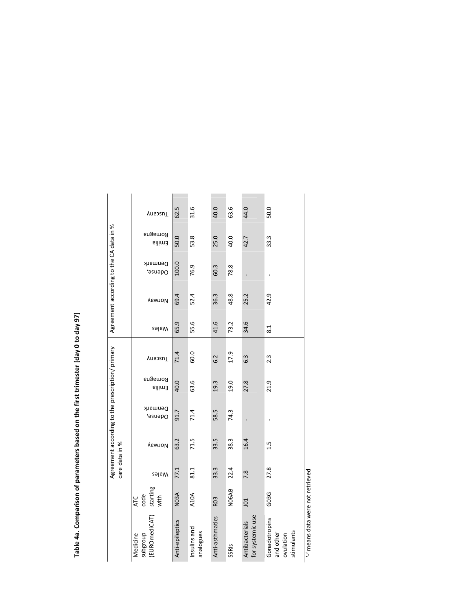Table 4a. Comparison of parameters based on the first trimester [day 0 to day 97] **Table 4a. Comparison of parameters based on the first trimester [day 0 to day 97]** 

|                                                       |                                 | care data in % |        | Agreement according to the prescription/ primary |                   |                  |       | Agreement according to the CA data in % |                    |                   |         |
|-------------------------------------------------------|---------------------------------|----------------|--------|--------------------------------------------------|-------------------|------------------|-------|-----------------------------------------|--------------------|-------------------|---------|
| (EUROmediCAT)<br>anpalagns<br>Medicine                | starting<br>code<br>with<br>ATC | Wales          | Norway | Denmark<br>ddense,                               | Romagna<br>Emilia | Tuscany          | Wales | Norway                                  | Denmark<br>ddense, | Romagna<br>Enilia | Tuscany |
| Anti-epileptics                                       | <b>NO3A</b>                     | 77.1           | 63.2   | 91.7                                             | 40.0              | 71.4             | 65.9  | 69.4                                    | 100.0              | 50.0              | 62.5    |
| Insulins and<br>analogues                             | A10A                            | 81.1           | 71.5   | 71.4                                             | 63.6              | 60.0             | 55.6  | 52.4                                    | 76.9               | 53.8              | 31.6    |
| Anti-asthmatics                                       | R <sub>03</sub>                 | 33.3           | 33.5   | 58.5                                             | 19.3              | 6.2              | 41.6  | 36.3                                    | 60.3               | 25.0              | 40.0    |
| SSRIS                                                 | <b>NO6AB</b>                    | 22.4           | 38.3   | 74.3                                             | 19.0              | 17.9             | 73.2  | 48.8                                    | 78.8               | 40.0              | 63.6    |
| for systemic use<br>Antibacterials                    | 101                             | 7.8            | 16.4   |                                                  | 27.8              | $6.\overline{3}$ | 34.6  | 25.2                                    |                    | 42.7              | 44.0    |
| Gonadotropins<br>stimulants<br>and other<br>ovulation | G03G                            | 27.8           | 1.5    |                                                  | 21.9              | $2.\overline{3}$ | 8.1   | 42.9                                    |                    | 33.3              | 50.0    |

" means data were not retrieved '-' means data were not retrieved